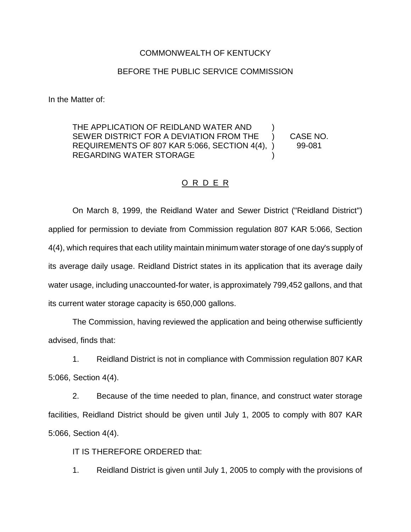## COMMONWEALTH OF KENTUCKY

## BEFORE THE PUBLIC SERVICE COMMISSION

In the Matter of:

THE APPLICATION OF REIDLAND WATER AND ) SEWER DISTRICT FOR A DEVIATION FROM THE ) CASE NO. REQUIREMENTS OF 807 KAR 5:066, SECTION 4(4), ) 99-081 REGARDING WATER STORAGE

## O R D E R

On March 8, 1999, the Reidland Water and Sewer District ("Reidland District") applied for permission to deviate from Commission regulation 807 KAR 5:066, Section 4(4), which requires that each utility maintain minimum water storage of one day's supply of its average daily usage. Reidland District states in its application that its average daily water usage, including unaccounted-for water, is approximately 799,452 gallons, and that its current water storage capacity is 650,000 gallons.

The Commission, having reviewed the application and being otherwise sufficiently advised, finds that:

1. Reidland District is not in compliance with Commission regulation 807 KAR 5:066, Section 4(4).

2. Because of the time needed to plan, finance, and construct water storage facilities, Reidland District should be given until July 1, 2005 to comply with 807 KAR 5:066, Section 4(4).

IT IS THEREFORE ORDERED that:

1. Reidland District is given until July 1, 2005 to comply with the provisions of